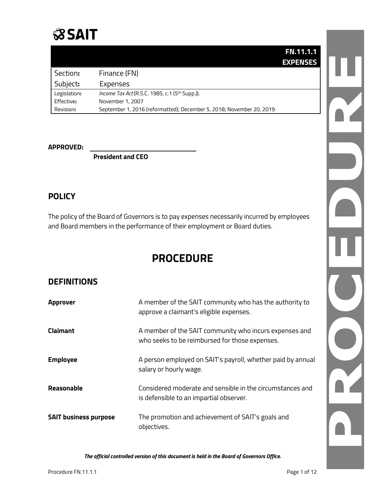

|              |                                                                      | <b>FN.11.1.1</b> |
|--------------|----------------------------------------------------------------------|------------------|
|              |                                                                      | <b>EXPENSES</b>  |
| Section:     | Finance (FN)                                                         |                  |
| Subject:     | Expenses                                                             |                  |
| Legislation: | <i>Income Tax Act</i> (R.S.C. 1985, c.1 (5 <sup>th</sup> Supp.)).    |                  |
| Effective:   | November 1, 2007                                                     |                  |
| Revision:    | September 1, 2016 (reformatted); December 5, 2018; November 20, 2019 |                  |

#### **APPROVED:**

**President and CEO**

### **POLICY**

The policy of the Board of Governors is to pay expenses necessarily incurred by employees and Board members in the performance of their employment or Board duties.

# **PROCEDURE**

### **DEFINITIONS**

| Approver                     | A member of the SAIT community who has the authority to<br>approve a claimant's eligible expenses.       |
|------------------------------|----------------------------------------------------------------------------------------------------------|
| Claimant                     | A member of the SAIT community who incurs expenses and<br>who seeks to be reimbursed for those expenses. |
| <b>Employee</b>              | A person employed on SAIT's payroll, whether paid by annual<br>salary or hourly wage.                    |
| Reasonable                   | Considered moderate and sensible in the circumstances and<br>is defensible to an impartial observer.     |
| <b>SAIT business purpose</b> | The promotion and achievement of SAIT's goals and<br>objectives.                                         |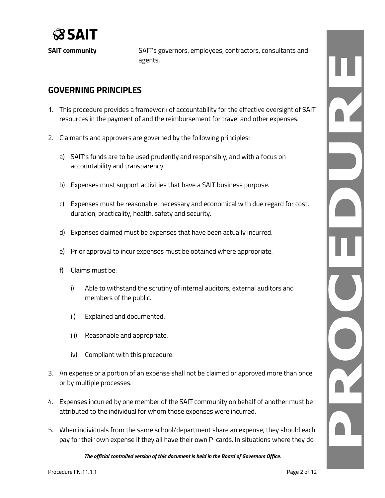

**SAIT community** SAIT's governors, employees, contractors, consultants and agents.

### **GOVERNING PRINCIPLES**

- 1. This procedure provides a framework of accountability for the effective oversight of SAIT resources in the payment of and the reimbursement for travel and other expenses.
- 2. Claimants and approvers are governed by the following principles:
	- a) SAIT's funds are to be used prudently and responsibly, and with a focus on accountability and transparency.
	- b) Expenses must support activities that have a SAIT business purpose.
	- c) Expenses must be reasonable, necessary and economical with due regard for cost, duration, practicality, health, safety and security.
	- d) Expenses claimed must be expenses that have been actually incurred.
	- e) Prior approval to incur expenses must be obtained where appropriate.
	- f) Claims must be:
		- i) Able to withstand the scrutiny of internal auditors, external auditors and members of the public.
		- ii) Explained and documented.
		- iii) Reasonable and appropriate.
		- iv) Compliant with this procedure.
- 3. An expense or a portion of an expense shall not be claimed or approved more than once or by multiple processes.
- 4. Expenses incurred by one member of the SAIT community on behalf of another must be attributed to the individual for whom those expenses were incurred.
- 5. When individuals from the same school/department share an expense, they should each pay for their own expense if they all have their own P-cards. In situations where they do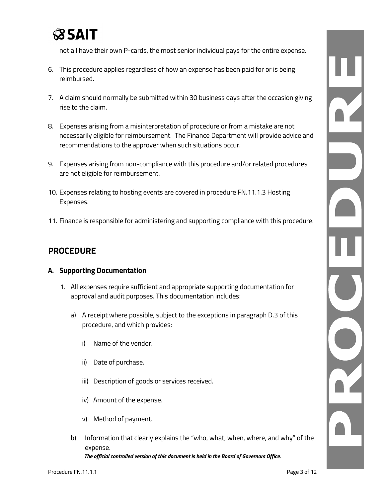

not all have their own P-cards, the most senior individual pays for the entire expense.

- 6. This procedure applies regardless of how an expense has been paid for or is being reimbursed.
- 7. A claim should normally be submitted within 30 business days after the occasion giving rise to the claim.
- 8. Expenses arising from a misinterpretation of procedure or from a mistake are not necessarily eligible for reimbursement. The Finance Department will provide advice and recommendations to the approver when such situations occur.
- 9. Expenses arising from non-compliance with this procedure and/or related procedures are not eligible for reimbursement.
- 10. Expenses relating to hosting events are covered in procedure FN.11.1.3 Hosting Expenses.
- 11. Finance is responsible for administering and supporting compliance with this procedure.

# **PROCEDURE**

#### **A. Supporting Documentation**

- 1. All expenses require sufficient and appropriate supporting documentation for approval and audit purposes. This documentation includes:
	- a) A receipt where possible, subject to the exceptions in paragraph D.3 of this procedure, and which provides:
		- i) Name of the vendor.
		- ii) Date of purchase.
		- iii) Description of goods or services received.
		- iv) Amount of the expense.
		- v) Method of payment.
	- b) Information that clearly explains the "who, what, when, where, and why" of the expense.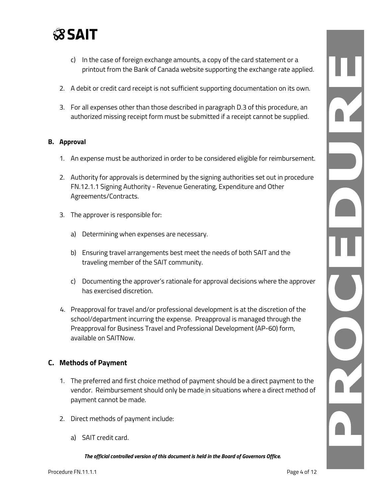

- c) In the case of foreign exchange amounts, a copy of the card statement or a printout from the Bank of Canada website supporting the exchange rate applied.
- 2. A debit or credit card receipt is not sufficient supporting documentation on its own.
- 3. For all expenses other than those described in paragraph D.3 of this procedure, an authorized missing receipt form must be submitted if a receipt cannot be supplied.

#### **B. Approval**

- 1. An expense must be authorized in order to be considered eligible for reimbursement.
- 2. Authority for approvals is determined by the signing authorities set out in procedure FN.12.1.1 Signing Authority - Revenue Generating, Expenditure and Other Agreements/Contracts.
- 3. The approver is responsible for:
	- a) Determining when expenses are necessary.
	- b) Ensuring travel arrangements best meet the needs of both SAIT and the traveling member of the SAIT community.
	- c) Documenting the approver's rationale for approval decisions where the approver has exercised discretion.
- 4. Preapproval for travel and/or professional development is at the discretion of the school/department incurring the expense. Preapproval is managed through the Preapproval for Business Travel and Professional Development (AP-60) form, available on SAITNow.

### **C. Methods of Payment**

- 1. The preferred and first choice method of payment should be a direct payment to the vendor. Reimbursement should only be made in situations where a direct method of payment cannot be made.
- 2. Direct methods of payment include:
	- a) SAIT credit card.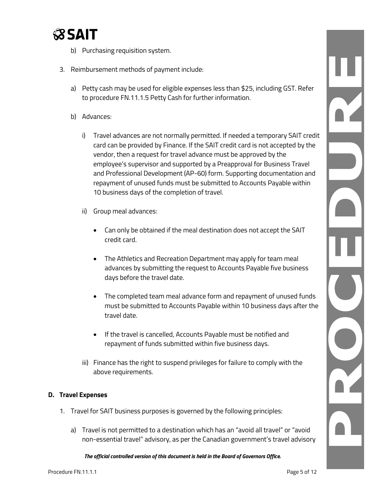

- b) Purchasing requisition system.
- 3. Reimbursement methods of payment include:
	- a) Petty cash may be used for eligible expenses less than \$25, including GST. Refer to procedure FN.11.1.5 Petty Cash for further information.
	- b) Advances:
		- i) Travel advances are not normally permitted. If needed a temporary SAIT credit card can be provided by Finance. If the SAIT credit card is not accepted by the vendor, then a request for travel advance must be approved by the employee's supervisor and supported by a Preapproval for Business Travel and Professional Development (AP-60) form. Supporting documentation and repayment of unused funds must be submitted to Accounts Payable within 10 business days of the completion of travel.
		- ii) Group meal advances:
			- Can only be obtained if the meal destination does not accept the SAIT credit card.
			- The Athletics and Recreation Department may apply for team meal advances by submitting the request to Accounts Payable five business days before the travel date.
			- The completed team meal advance form and repayment of unused funds must be submitted to Accounts Payable within 10 business days after the travel date.
			- If the travel is cancelled, Accounts Payable must be notified and repayment of funds submitted within five business days.
		- iii) Finance has the right to suspend privileges for failure to comply with the above requirements.

#### **D. Travel Expenses**

- 1. Travel for SAIT business purposes is governed by the following principles:
	- a) Travel is not permitted to a destination which has an "avoid all travel" or "avoid non-essential travel" advisory, as per the Canadian government's travel advisory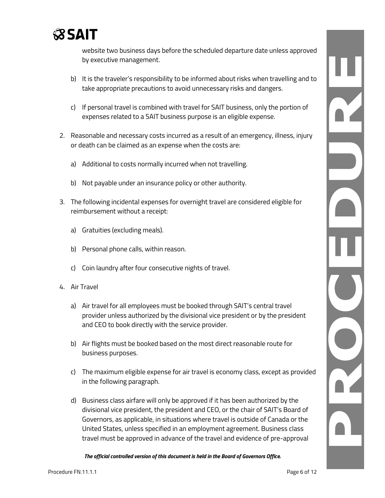

website two business days before the scheduled departure date unless approved by executive management.

- b) It is the traveler's responsibility to be informed about risks when travelling and to take appropriate precautions to avoid unnecessary risks and dangers.
- c) If personal travel is combined with travel for SAIT business, only the portion of expenses related to a SAIT business purpose is an eligible expense.
- 2. Reasonable and necessary costs incurred as a result of an emergency, illness, injury or death can be claimed as an expense when the costs are:
	- a) Additional to costs normally incurred when not travelling.
	- b) Not payable under an insurance policy or other authority.
- 3. The following incidental expenses for overnight travel are considered eligible for reimbursement without a receipt:
	- a) Gratuities (excluding meals).
	- b) Personal phone calls, within reason.
	- c) Coin laundry after four consecutive nights of travel.
- 4. Air Travel
	- a) Air travel for all employees must be booked through SAIT's central travel provider unless authorized by the divisional vice president or by the president and CEO to book directly with the service provider.
	- b) Air flights must be booked based on the most direct reasonable route for business purposes.
	- c) The maximum eligible expense for air travel is economy class, except as provided in the following paragraph.
	- d) Business class airfare will only be approved if it has been authorized by the divisional vice president, the president and CEO, or the chair of SAIT's Board of Governors, as applicable, in situations where travel is outside of Canada or the United States, unless specified in an employment agreement. Business class travel must be approved in advance of the travel and evidence of pre-approval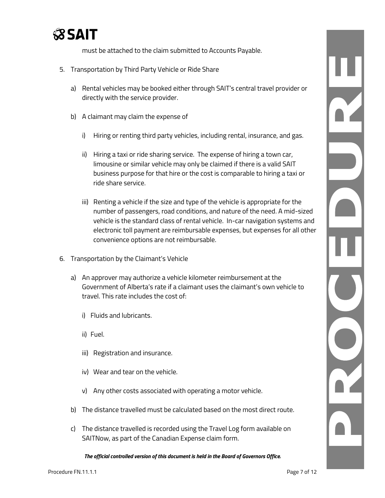

must be attached to the claim submitted to Accounts Payable.

- 5. Transportation by Third Party Vehicle or Ride Share
	- a) Rental vehicles may be booked either through SAIT's central travel provider or directly with the service provider.
	- b) A claimant may claim the expense of
		- i) Hiring or renting third party vehicles, including rental, insurance, and gas.
		- ii) Hiring a taxi or ride sharing service. The expense of hiring a town car, limousine or similar vehicle may only be claimed if there is a valid SAIT business purpose for that hire or the cost is comparable to hiring a taxi or ride share service.
		- iii) Renting a vehicle if the size and type of the vehicle is appropriate for the number of passengers, road conditions, and nature of the need. A mid-sized vehicle is the standard class of rental vehicle. In-car navigation systems and electronic toll payment are reimbursable expenses, but expenses for all other convenience options are not reimbursable.
- 6. Transportation by the Claimant's Vehicle
	- a) An approver may authorize a vehicle kilometer reimbursement at the Government of Alberta's rate if a claimant uses the claimant's own vehicle to travel. This rate includes the cost of:
		- i) Fluids and lubricants.
		- ii) Fuel.
		- iii) Registration and insurance.
		- iv) Wear and tear on the vehicle.
		- v) Any other costs associated with operating a motor vehicle.
	- b) The distance travelled must be calculated based on the most direct route.
	- c) The distance travelled is recorded using the Travel Log form available on SAITNow, as part of the Canadian Expense claim form.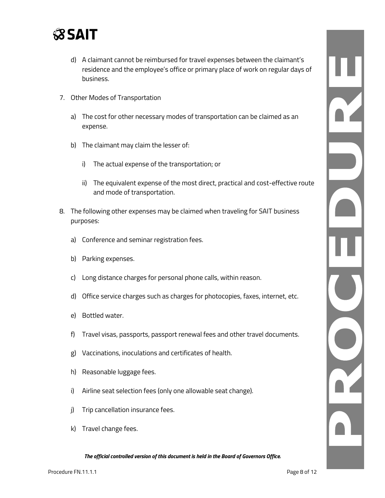

- d) A claimant cannot be reimbursed for travel expenses between the claimant's residence and the employee's office or primary place of work on regular days of business.
- 7. Other Modes of Transportation
	- a) The cost for other necessary modes of transportation can be claimed as an expense.
	- b) The claimant may claim the lesser of:
		- i) The actual expense of the transportation; or
		- ii) The equivalent expense of the most direct, practical and cost-effective route and mode of transportation.
- 8. The following other expenses may be claimed when traveling for SAIT business purposes:
	- a) Conference and seminar registration fees.
	- b) Parking expenses.
	- c) Long distance charges for personal phone calls, within reason.
	- d) Office service charges such as charges for photocopies, faxes, internet, etc.
	- e) Bottled water.
	- f) Travel visas, passports, passport renewal fees and other travel documents.
	- g) Vaccinations, inoculations and certificates of health.
	- h) Reasonable luggage fees.
	- i) Airline seat selection fees (only one allowable seat change).
	- j) Trip cancellation insurance fees.
	- k) Travel change fees.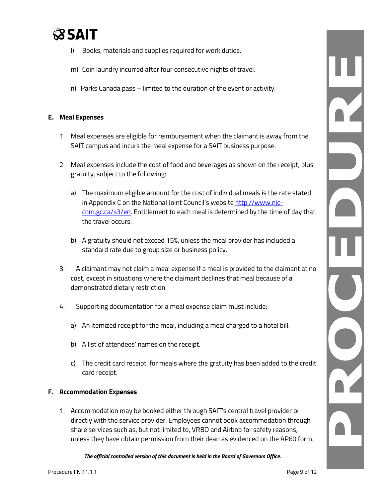

- l) Books, materials and supplies required for work duties.
- m) Coin laundry incurred after four consecutive nights of travel.
- n) Parks Canada pass limited to the duration of the event or activity.

### **E. Meal Expenses**

- 1. Meal expenses are eligible for reimbursement when the claimant is away from the SAIT campus and incurs the meal expense for a SAIT business purpose.
- 2. Meal expenses include the cost of food and beverages as shown on the receipt, plus gratuity, subject to the following:
	- a) The maximum eligible amount for the cost of individual meals is the rate stated in Appendix C on the National Joint Council's website [http://www.njc](http://www.njc-cnm.gc.ca/s3/en)[cnm.gc.ca/s3/en.](http://www.njc-cnm.gc.ca/s3/en) Entitlement to each meal is determined by the time of day that the travel occurs.
	- b) A gratuity should not exceed 15%, unless the meal provider has included a standard rate due to group size or business policy.
- 3. A claimant may not claim a meal expense if a meal is provided to the claimant at no cost, except in situations where the claimant declines that meal because of a demonstrated dietary restriction.
- 4. Supporting documentation for a meal expense claim must include:
	- a) An itemized receipt for the meal, including a meal charged to a hotel bill.
	- b) A list of attendees' names on the receipt.
	- c) The credit card receipt, for meals where the gratuity has been added to the credit card receipt.

#### **F. Accommodation Expenses**

1. Accommodation may be booked either through SAIT's central travel provider or directly with the service provider. Employees cannot book accommodation through share services such as, but not limited to, VRBO and Airbnb for safety reasons, unless they have obtain permission from their dean as evidenced on the AP60 form.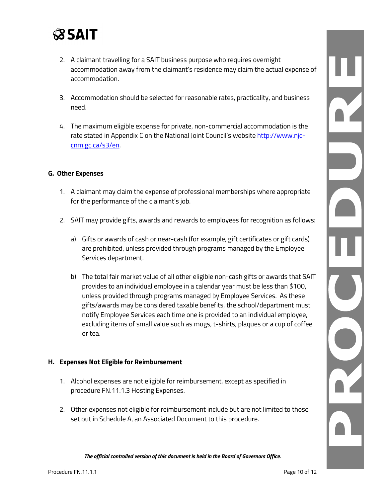

- 2. A claimant travelling for a SAIT business purpose who requires overnight accommodation away from the claimant's residence may claim the actual expense of accommodation.
- 3. Accommodation should be selected for reasonable rates, practicality, and business need.
- 4. The maximum eligible expense for private, non-commercial accommodation is the rate stated in Appendix C on the National Joint Council's website [http://www.njc](http://www.njc-cnm.gc.ca/s3/en)[cnm.gc.ca/s3/en.](http://www.njc-cnm.gc.ca/s3/en)

#### **G. Other Expenses**

- 1. A claimant may claim the expense of professional memberships where appropriate for the performance of the claimant's job.
- 2. SAIT may provide gifts, awards and rewards to employees for recognition as follows:
	- a) Gifts or awards of cash or near-cash (for example, gift certificates or gift cards) are prohibited, unless provided through programs managed by the Employee Services department.
	- b) The total fair market value of all other eligible non-cash gifts or awards that SAIT provides to an individual employee in a calendar year must be less than \$100, unless provided through programs managed by Employee Services. As these gifts/awards may be considered taxable benefits, the school/department must notify Employee Services each time one is provided to an individual employee, excluding items of small value such as mugs, t-shirts, plaques or a cup of coffee or tea.

#### **H. Expenses Not Eligible for Reimbursement**

- 1. Alcohol expenses are not eligible for reimbursement, except as specified in procedure FN.11.1.3 Hosting Expenses.
- 2. Other expenses not eligible for reimbursement include but are not limited to those set out in Schedule A, an Associated Document to this procedure.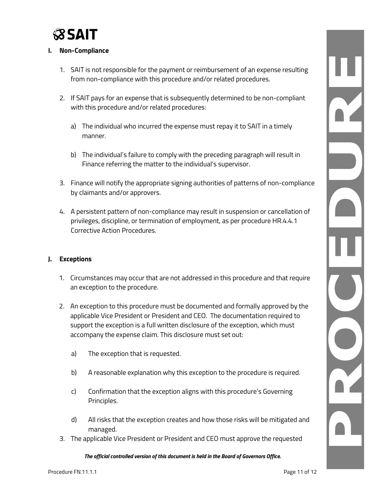

### **I. Non-Compliance**

- 1. SAIT is not responsible for the payment or reimbursement of an expense resulting from non-compliance with this procedure and/or related procedures.
- 2. If SAIT pays for an expense that is subsequently determined to be non-compliant with this procedure and/or related procedures:
	- a) The individual who incurred the expense must repay it to SAIT in a timely manner.
	- b) The individual's failure to comply with the preceding paragraph will result in Finance referring the matter to the individual's supervisor.
- 3. Finance will notify the appropriate signing authorities of patterns of non-compliance by claimants and/or approvers.
- 4. A persistent pattern of non-compliance may result in suspension or cancellation of privileges, discipline, or termination of employment, as per procedure HR.4.4.1 Corrective Action Procedures.

#### **J. Exceptions**

- 1. Circumstances may occur that are not addressed in this procedure and that require an exception to the procedure.
- 2. An exception to this procedure must be documented and formally approved by the applicable Vice President or President and CEO. The documentation required to support the exception is a full written disclosure of the exception, which must accompany the expense claim. This disclosure must set out:
	- a) The exception that is requested.
	- b) A reasonable explanation why this exception to the procedure is required.
	- c) Confirmation that the exception aligns with this procedure's Governing Principles.
	- d) All risks that the exception creates and how those risks will be mitigated and managed.
- 3. The applicable Vice President or President and CEO must approve the requested